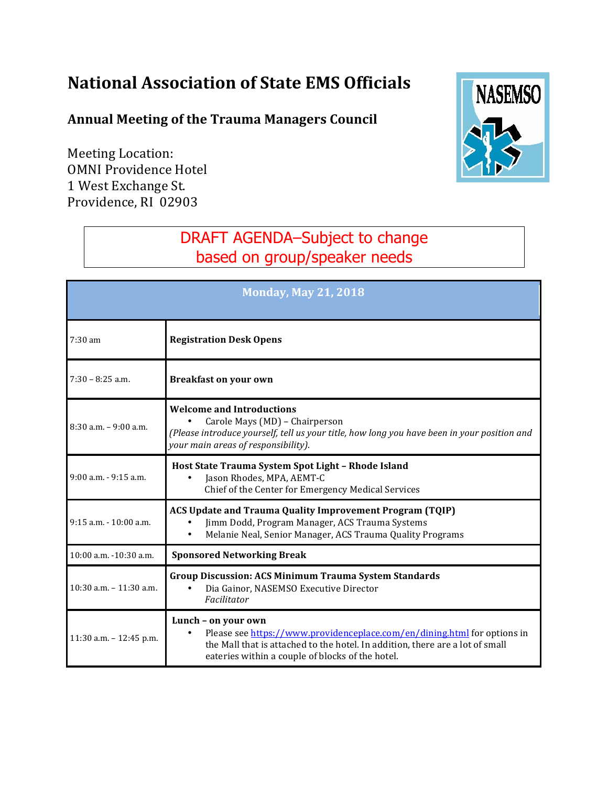## **National Association of State EMS Officials**

## **Annual Meeting of the Trauma Managers Council**

Meeting Location: **OMNI Providence Hotel** 1 West Exchange St. Providence, RI 02903



## DRAFT AGENDA–Subject to change based on group/speaker needs

| <b>Monday, May 21, 2018</b> |                                                                                                                                                                                                                                      |  |
|-----------------------------|--------------------------------------------------------------------------------------------------------------------------------------------------------------------------------------------------------------------------------------|--|
| $7:30 \text{ am}$           | <b>Registration Desk Opens</b>                                                                                                                                                                                                       |  |
| $7:30 - 8:25$ a.m.          | <b>Breakfast on your own</b>                                                                                                                                                                                                         |  |
| $8:30$ a.m. $-9:00$ a.m.    | <b>Welcome and Introductions</b><br>Carole Mays (MD) - Chairperson<br>(Please introduce yourself, tell us your title, how long you have been in your position and<br>your main areas of responsibility).                             |  |
| $9:00$ a.m. $-9:15$ a.m.    | Host State Trauma System Spot Light - Rhode Island<br>Jason Rhodes, MPA, AEMT-C<br>$\bullet$<br>Chief of the Center for Emergency Medical Services                                                                                   |  |
| $9:15$ a.m. $-10:00$ a.m.   | ACS Update and Trauma Quality Improvement Program (TQIP)<br>Jimm Dodd, Program Manager, ACS Trauma Systems<br>Melanie Neal, Senior Manager, ACS Trauma Quality Programs                                                              |  |
| 10:00 a.m. -10:30 a.m.      | <b>Sponsored Networking Break</b>                                                                                                                                                                                                    |  |
| 10:30 a.m. - 11:30 a.m.     | <b>Group Discussion: ACS Minimum Trauma System Standards</b><br>Dia Gainor, NASEMSO Executive Director<br>Facilitator                                                                                                                |  |
| $11:30$ a.m. $-12:45$ p.m.  | Lunch - on your own<br>Please see https://www.providenceplace.com/en/dining.html for options in<br>the Mall that is attached to the hotel. In addition, there are a lot of small<br>eateries within a couple of blocks of the hotel. |  |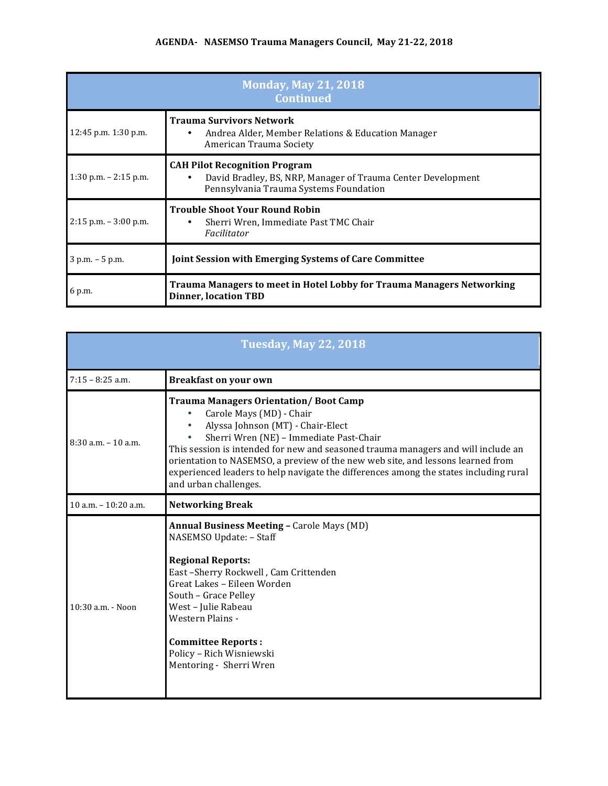## AGENDA- NASEMSO Trauma Managers Council, May 21-22, 2018

| <b>Monday, May 21, 2018</b><br><b>Continued</b> |                                                                                                                                                |  |
|-------------------------------------------------|------------------------------------------------------------------------------------------------------------------------------------------------|--|
| $12:45$ p.m. $1:30$ p.m.                        | <b>Trauma Survivors Network</b><br>Andrea Alder, Member Relations & Education Manager<br>٠<br>American Trauma Society                          |  |
| $1:30$ p.m. $-2:15$ p.m.                        | <b>CAH Pilot Recognition Program</b><br>David Bradley, BS, NRP, Manager of Trauma Center Development<br>Pennsylvania Trauma Systems Foundation |  |
| $2:15$ p.m. $-3:00$ p.m.                        | <b>Trouble Shoot Your Round Robin</b><br>Sherri Wren, Immediate Past TMC Chair<br>٠<br>Facilitator                                             |  |
| $3 p.m. - 5 p.m.$                               | <b>Joint Session with Emerging Systems of Care Committee</b>                                                                                   |  |
| 6 p.m.                                          | <b>Trauma Managers to meet in Hotel Lobby for Trauma Managers Networking</b><br><b>Dinner, location TBD</b>                                    |  |

| <b>Tuesday, May 22, 2018</b> |                                                                                                                                                                                                                                                                                                                                                                                                                                                    |  |
|------------------------------|----------------------------------------------------------------------------------------------------------------------------------------------------------------------------------------------------------------------------------------------------------------------------------------------------------------------------------------------------------------------------------------------------------------------------------------------------|--|
| $7:15 - 8:25$ a.m.           | <b>Breakfast on your own</b>                                                                                                                                                                                                                                                                                                                                                                                                                       |  |
| $8:30$ a.m. $-10$ a.m.       | <b>Trauma Managers Orientation/Boot Camp</b><br>Carole Mays (MD) - Chair<br>Alyssa Johnson (MT) - Chair-Elect<br>Sherri Wren (NE) - Immediate Past-Chair<br>This session is intended for new and seasoned trauma managers and will include an<br>orientation to NASEMSO, a preview of the new web site, and lessons learned from<br>experienced leaders to help navigate the differences among the states including rural<br>and urban challenges. |  |
| $10$ a.m. $- 10:20$ a.m.     | <b>Networking Break</b>                                                                                                                                                                                                                                                                                                                                                                                                                            |  |
| $10:30$ a.m. - Noon          | <b>Annual Business Meeting - Carole Mays (MD)</b><br>NASEMSO Update: - Staff<br><b>Regional Reports:</b><br>East-Sherry Rockwell, Cam Crittenden<br>Great Lakes - Eileen Worden<br>South - Grace Pelley<br>West - Julie Rabeau<br>Western Plains -<br><b>Committee Reports:</b><br>Policy - Rich Wisniewski<br>Mentoring - Sherri Wren                                                                                                             |  |